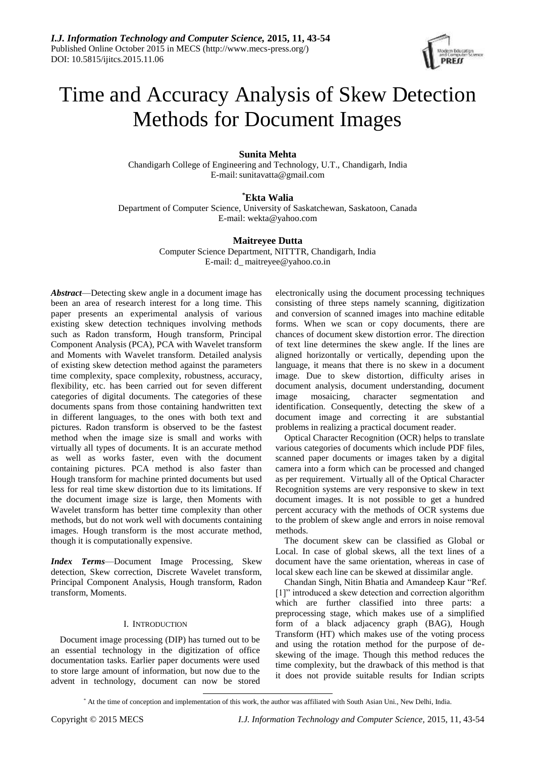

# Time and Accuracy Analysis of Skew Detection Methods for Document Images

# **Sunita Mehta**

Chandigarh College of Engineering and Technology, U.T., Chandigarh, India E-mail[:sunitavatta@gmail.com](mailto:sunitavatta@gmail.com)

# **\*Ekta Walia**

Department of Computer Science, University of Saskatchewan, Saskatoon, Canada E-mail: [wekta@yahoo.com](mailto:wekta@yahoo.com)

# **Maitreyee Dutta**

Computer Science Department, NITTTR, Chandigarh, India E-mail: d\_ [maitreyee@yahoo.co.in](mailto:maitreyee@yahoo.co.in)

*Abstract*—Detecting skew angle in a document image has been an area of research interest for a long time. This paper presents an experimental analysis of various existing skew detection techniques involving methods such as Radon transform, Hough transform, Principal Component Analysis (PCA), PCA with Wavelet transform and Moments with Wavelet transform. Detailed analysis of existing skew detection method against the parameters time complexity, space complexity, robustness, accuracy, flexibility, etc. has been carried out for seven different categories of digital documents. The categories of these documents spans from those containing handwritten text in different languages, to the ones with both text and pictures. Radon transform is observed to be the fastest method when the image size is small and works with virtually all types of documents. It is an accurate method as well as works faster, even with the document containing pictures. PCA method is also faster than Hough transform for machine printed documents but used less for real time skew distortion due to its limitations. If the document image size is large, then Moments with Wavelet transform has better time complexity than other methods, but do not work well with documents containing images. Hough transform is the most accurate method, though it is computationally expensive.

*Index Terms*—Document Image Processing*,* Skew detection, Skew correction, Discrete Wavelet transform, Principal Component Analysis, Hough transform, Radon transform, Moments.

# I. INTRODUCTION

Document image processing (DIP) has turned out to be an essential technology in the digitization of office documentation tasks. Earlier paper documents were used to store large amount of information, but now due to the advent in technology, document can now be stored

 $\overline{a}$ 

electronically using the document processing techniques consisting of three steps namely scanning, digitization and conversion of scanned images into machine editable forms. When we scan or copy documents, there are chances of document skew distortion error. The direction of text line determines the skew angle. If the lines are aligned horizontally or vertically, depending upon the language, it means that there is no skew in a document image. Due to skew distortion, difficulty arises in document analysis, document understanding, document image mosaicing, character segmentation and identification. Consequently, detecting the skew of a document image and correcting it are substantial problems in realizing a practical document reader.

Optical Character Recognition (OCR) helps to translate various categories of documents which include PDF files, scanned paper documents or images taken by a digital camera into a form which can be processed and changed as per requirement. Virtually all of the Optical Character Recognition systems are very responsive to skew in text document images. It is not possible to get a hundred percent accuracy with the methods of OCR systems due to the problem of skew angle and errors in noise removal methods.

The document skew can be classified as Global or Local. In case of global skews, all the text lines of a document have the same orientation, whereas in case of local skew each line can be skewed at dissimilar angle.

Chandan Singh, Nitin Bhatia and Amandeep Kaur "Ref. [1]" introduced a skew detection and correction algorithm which are further classified into three parts: a preprocessing stage, which makes use of a simplified form of a black adjacency graph (BAG), Hough Transform (HT) which makes use of the voting process and using the rotation method for the purpose of deskewing of the image. Though this method reduces the time complexity, but the drawback of this method is that it does not provide suitable results for Indian scripts

<sup>\*</sup> At the time of conception and implementation of this work, the author was affiliated with South Asian Uni., New Delhi, India.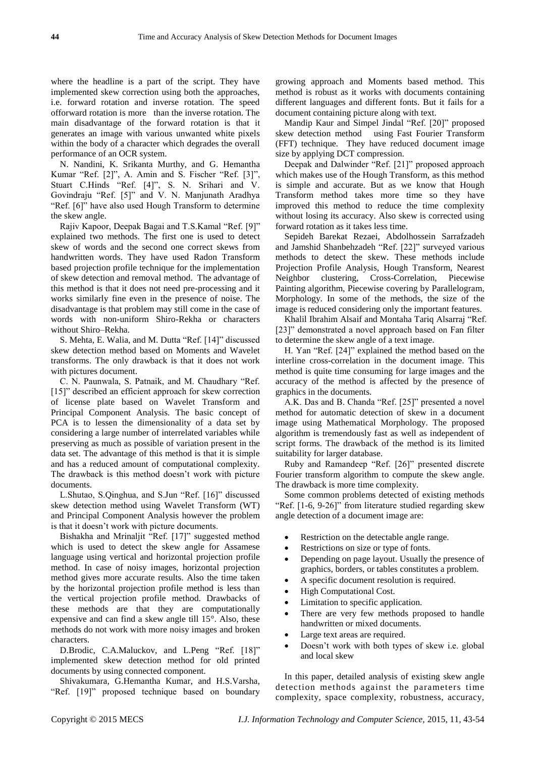where the headline is a part of the script. They have implemented skew correction using both the approaches, i.e. forward rotation and inverse rotation. The speed offorward rotation is more than the inverse rotation. The main disadvantage of the forward rotation is that it generates an image with various unwanted white pixels within the body of a character which degrades the overall performance of an OCR system.

N. Nandini, K. Srikanta Murthy, and G. Hemantha Kumar "Ref. [2]", A. Amin and S. Fischer "Ref. [3]", Stuart C.Hinds "Ref. [4]", S. N. Srihari and V. Govindraju "Ref. [5]" and V. N. Manjunath Aradhya "Ref. [6]" have also used Hough Transform to determine the skew angle.

Rajiv Kapoor, Deepak Bagai and T.S.Kamal "Ref. [9]" explained two methods. The first one is used to detect skew of words and the second one correct skews from handwritten words. They have used Radon Transform based projection profile technique for the implementation of skew detection and removal method. The advantage of this method is that it does not need pre-processing and it works similarly fine even in the presence of noise. The disadvantage is that problem may still come in the case of words with non-uniform Shiro-Rekha or characters without Shiro–Rekha.

S. Mehta, E. Walia, and M. Dutta "Ref. [14]" discussed skew detection method based on Moments and Wavelet transforms. The only drawback is that it does not work with pictures document.

C. N. Paunwala, S. Patnaik, and M. Chaudhary "Ref. [15]" described an efficient approach for skew correction of license plate based on Wavelet Transform and Principal Component Analysis. The basic concept of PCA is to lessen the dimensionality of a data set by considering a large number of interrelated variables while preserving as much as possible of variation present in the data set. The advantage of this method is that it is simple and has a reduced amount of computational complexity. The drawback is this method doesn't work with picture documents.

L.Shutao, S.Qinghua, and S.Jun "Ref. [16]" discussed skew detection method using Wavelet Transform (WT) and Principal Component Analysis however the problem is that it doesn't work with picture documents.

Bishakha and Mrinaljit "Ref. [17]" suggested method which is used to detect the skew angle for Assamese language using vertical and horizontal projection profile method. In case of noisy images, horizontal projection method gives more accurate results. Also the time taken by the horizontal projection profile method is less than the vertical projection profile method. Drawbacks of these methods are that they are computationally expensive and can find a skew angle till 15°. Also, these methods do not work with more noisy images and broken characters.

D.Brodic, C.A.Maluckov, and L.Peng "Ref. [18]" implemented skew detection method for old printed documents by using connected component.

Shivakumara, G.Hemantha Kumar, and H.S.Varsha, "Ref. [19]" proposed technique based on boundary growing approach and Moments based method. This method is robust as it works with documents containing different languages and different fonts. But it fails for a document containing picture along with text.

Mandip Kaur and Simpel Jindal "Ref. [20]" proposed skew detection method using Fast Fourier Transform (FFT) technique. They have reduced document image size by applying DCT compression.

Deepak and Dalwinder "Ref. [21]" proposed approach which makes use of the Hough Transform, as this method is simple and accurate. But as we know that Hough Transform method takes more time so they have improved this method to reduce the time complexity without losing its accuracy. Also skew is corrected using forward rotation as it takes less time.

Sepideh Barekat Rezaei, Abdolhossein Sarrafzadeh and Jamshid Shanbehzadeh "Ref. [22]" surveyed various methods to detect the skew. These methods include Projection Profile Analysis, Hough Transform, Nearest Neighbor clustering, Cross-Correlation, Piecewise Painting algorithm, Piecewise covering by Parallelogram, Morphology. In some of the methods, the size of the image is reduced considering only the important features.

Khalil Ibrahim Alsaif and Montaha Tariq Alsarraj "Ref. [23]" demonstrated a novel approach based on Fan filter to determine the skew angle of a text image.

H. Yan "Ref. [24]" explained the method based on the interline cross-correlation in the document image. This method is quite time consuming for large images and the accuracy of the method is affected by the presence of graphics in the documents.

A.K. Das and B. Chanda "Ref. [25]" presented a novel method for automatic detection of skew in a document image using Mathematical Morphology. The proposed algorithm is tremendously fast as well as independent of script forms. The drawback of the method is its limited suitability for larger database.

Ruby and Ramandeep "Ref. [26]" presented discrete Fourier transform algorithm to compute the skew angle. The drawback is more time complexity.

Some common problems detected of existing methods "Ref. [1-6, 9-26]" from literature studied regarding skew angle detection of a document image are:

- Restriction on the detectable angle range.
- Restrictions on size or type of fonts.
- Depending on page layout. Usually the presence of graphics, borders, or tables constitutes a problem.
- A specific document resolution is required.
- High Computational Cost.
- Limitation to specific application.
- There are very few methods proposed to handle handwritten or mixed documents.
- Large text areas are required.
- Doesn't work with both types of skew i.e. global and local skew

In this paper, detailed analysis of existing skew angle detection methods against the parameters time complexity, space complexity, robustness, accuracy,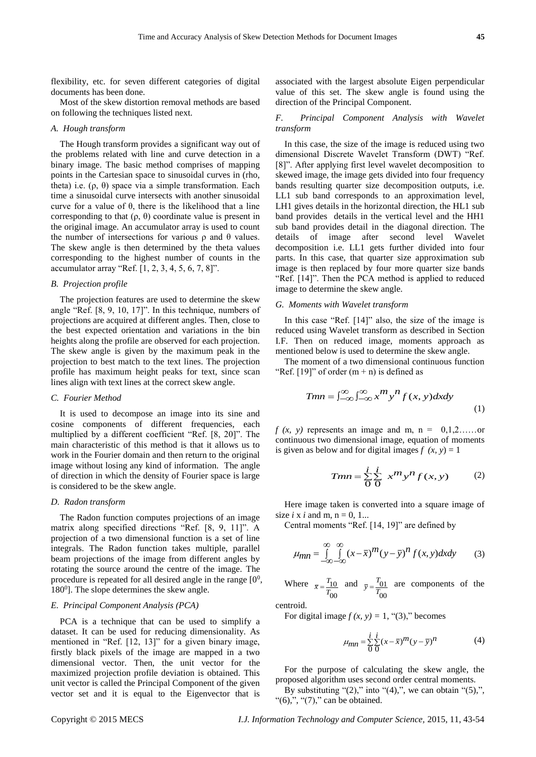flexibility, etc. for seven different categories of digital documents has been done.

Most of the skew distortion removal methods are based on following the techniques listed next.

## *A. Hough transform*

The Hough transform provides a significant way out of the problems related with line and curve detection in a binary image. The basic method comprises of mapping points in the Cartesian space to sinusoidal curves in (rho, theta) i.e.  $(ρ, θ)$  space via a simple transformation. Each time a sinusoidal curve intersects with another sinusoidal curve for a value of θ, there is the likelihood that a line corresponding to that  $(ρ, θ)$  coordinate value is present in the original image. An accumulator array is used to count the number of intersections for various  $ρ$  and  $θ$  values. The skew angle is then determined by the theta values corresponding to the highest number of counts in the accumulator array "Ref.  $[1, 2, 3, 4, 5, 6, 7, 8]$ ".

# *B. Projection profile*

The projection features are used to determine the skew angle "Ref. [8, 9, 10, 17]". In this technique, numbers of projections are acquired at different angles. Then, close to the best expected orientation and variations in the bin heights along the profile are observed for each projection. The skew angle is given by the maximum peak in the projection to best match to the text lines. The projection profile has maximum height peaks for text, since scan lines align with text lines at the correct skew angle.

# *C. Fourier Method*

It is used to decompose an image into its sine and cosine components of different frequencies, each multiplied by a different coefficient "Ref. [8, 20]". The main characteristic of this method is that it allows us to work in the Fourier domain and then return to the original image without losing any kind of information. The angle of direction in which the density of Fourier space is large is considered to be the skew angle.

#### *D. Radon transform*

The Radon function computes projections of an image matrix along specified directions "Ref. [8, 9, 11]". A projection of a two dimensional function is a set of line integrals. The Radon function takes multiple, parallel beam projections of the image from different angles by rotating the source around the centre of the image. The procedure is repeated for all desired angle in the range  $[0^0$ , 180<sup>0</sup>]. The slope determines the skew angle.

# *E. Principal Component Analysis (PCA)*

PCA is a technique that can be used to simplify a dataset. It can be used for reducing dimensionality. As mentioned in "Ref. [12, 13]" for a given binary image, firstly black pixels of the image are mapped in a two dimensional vector. Then, the unit vector for the maximized projection profile deviation is obtained. This unit vector is called the Principal Component of the given vector set and it is equal to the Eigenvector that is associated with the largest absolute Eigen perpendicular value of this set. The skew angle is found using the direction of the Principal Component.

# *F. Principal Component Analysis with Wavelet transform*

In this case, the size of the image is reduced using two dimensional Discrete Wavelet Transform (DWT) "Ref. [8]". After applying first level wavelet decomposition to skewed image, the image gets divided into four frequency bands resulting quarter size decomposition outputs, i.e. LL1 sub band corresponds to an approximation level, LH1 gives details in the horizontal direction, the HL1 sub band provides details in the vertical level and the HH1 sub band provides detail in the diagonal direction. The details of image after second level Wavelet decomposition i.e. LL1 gets further divided into four parts. In this case, that quarter size approximation sub image is then replaced by four more quarter size bands "Ref. [14]". Then the PCA method is applied to reduced image to determine the skew angle.

#### *G. Moments with Wavelet transform*

In this case "Ref. [14]" also, the size of the image is reduced using Wavelet transform as described in Section I*.*F. Then on reduced image, moments approach as mentioned below is used to determine the skew angle.

The moment of a two dimensional continuous function "Ref.  $[19]$ " of order  $(m + n)$  is defined as

$$
Tmn = \int_{-\infty}^{\infty} \int_{-\infty}^{\infty} x^m y^n f(x, y) dx dy
$$
 (1)

 $f(x, y)$  represents an image and m, n =  $0,1,2,\ldots$  or continuous two dimensional image, equation of moments is given as below and for digital images  $f(x, y) = 1$ 

$$
Tmn = \frac{i}{0} \frac{i}{0} x^m y^n f(x, y)
$$
 (2)

Here image taken is converted into a square image of size  $i \times i$  and m,  $n = 0, 1...$ 

Central moments "Ref. [14, 19]" are defined by

$$
\mu_{mn} = \int_{-\infty}^{\infty} \int_{-\infty}^{\infty} (x - \bar{x})^m (y - \bar{y})^n f(x, y) dx dy
$$
 (3)

Where  $\bar{r} = \frac{I_{10}}{I}$ 00  $\overline{x} = \frac{T_{10}}{T_{00}}$  and  $\overline{y} = \frac{T_{01}}{T_{00}}$ 00  $\bar{y} = \frac{T_{01}}{T_{00}}$  are components of the

centroid.

For digital image  $f(x, y) = 1$ , "(3)," becomes

$$
\mu_{mn} = \frac{i}{0} \frac{i}{0} (x - \overline{x})^m (y - \overline{y})^n \tag{4}
$$

For the purpose of calculating the skew angle, the proposed algorithm uses second order central moments.

By substituting " $(2)$ ," into " $(4)$ ,", we can obtain " $(5)$ ,", " $(6)$ ,", " $(7)$ ," can be obtained.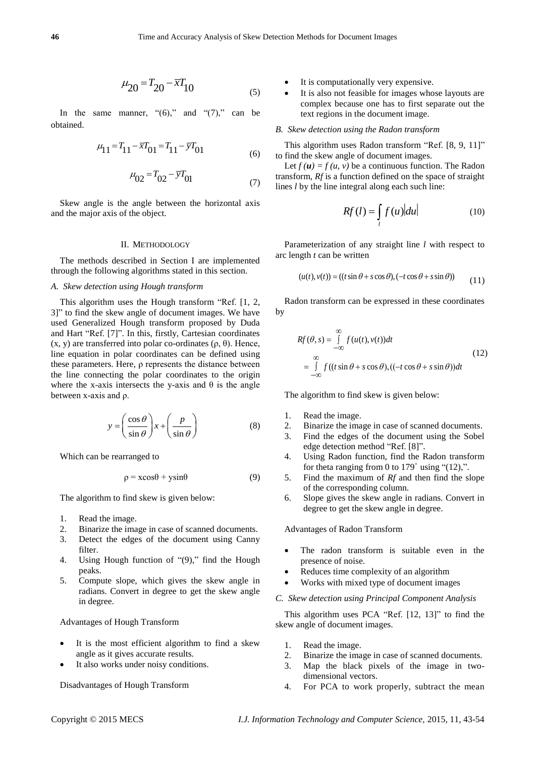$$
\mu_{20} = T_{20} - \bar{x}T_{10} \tag{5}
$$

In the same manner, " $(6)$ ," and " $(7)$ ," can be obtained.

$$
\mu_{11} = T_{11} - \overline{x}T_{01} = T_{11} - \overline{y}T_{01}
$$
\n(6)

$$
\mu_{02} = T_{02} - \bar{y}T_{01} \tag{7}
$$

Skew angle is the angle between the horizontal axis and the major axis of the object.

#### II. METHODOLOGY

The methods described in Section I are implemented through the following algorithms stated in this section.

# *A. Skew detection using Hough transform*

**Example 2016** The computer of  $P_0$ . This computer specific the specific technology and computer specific technology and Computer Science in the computer Science of  $P_0$ . The properties of the computer Science of the c This algorithm uses the Hough transform "Ref. [1, 2, 3]" to find the skew angle of document images. We have used Generalized Hough transform proposed by Duda and Hart "Ref. [7]". In this, firstly, Cartesian coordinates (x, y) are transferred into polar co-ordinates (ρ, θ). Hence, line equation in [polar coordinates](http://en.wikipedia.org/wiki/Polar_coordinate) can be defined using these parameters. Here, ρ represents the distance between the line connecting the polar coordinates to the origin where the x-axis intersects the y-axis and  $\theta$  is the angle between x-axis and ρ.

$$
y = \left(\frac{\cos\theta}{\sin\theta}\right)x + \left(\frac{p}{\sin\theta}\right) \tag{8}
$$

Which can be rearranged to

$$
\rho = x\cos\theta + y\sin\theta \tag{9}
$$

The algorithm to find skew is given below:

- 1. Read the image.
- 2. Binarize the image in case of scanned documents.
- 3. Detect the edges of the document using Canny filter.
- 4. Using Hough function of "(9)," find the Hough peaks.
- 5. Compute slope, which gives the skew angle in radians. Convert in degree to get the skew angle in degree.

#### Advantages of Hough Transform

- It is the most efficient algorithm to find a skew angle as it gives accurate results.
- It also works under noisy conditions.

Disadvantages of Hough Transform

- It is computationally very expensive.
- It is also not feasible for images whose layouts are complex because one has to first separate out the text regions in the document image.

#### *B. Skew detection using the Radon transform*

This algorithm uses Radon transform "Ref. [8, 9, 11]" to find the skew angle of document images.

Let  $f(u) = f(u, v)$  be [a continuous function.](http://en.wikipedia.org/wiki/Continuous_function) The Radon transform, *Rf* is a function defined on the space of straight lines *l* by the [line integral](http://en.wikipedia.org/wiki/Line_integral#Definition) along each such line:

$$
Rf(l) = \int_{l} f(u) |du|
$$
 (10)

Parameterization of any straight line *l* with respect to arc length *t* can be written

$$
(u(t), v(t)) = ((t \sin \theta + s \cos \theta), (-t \cos \theta + s \sin \theta))
$$
 (11)

Radon transform can be expressed in these coordinates by

$$
Rf(\theta, s) = \int_{-\infty}^{\infty} f(u(t), v(t))dt
$$
  
= 
$$
\int_{-\infty}^{\infty} f((t \sin \theta + s \cos \theta), ((-t \cos \theta + s \sin \theta))dt
$$
 (12)

The algorithm to find skew is given below:

- 1. Read the image.
- 2. Binarize the image in case of scanned documents.
- 3. Find the edges of the document using the Sobel edge detection method "Ref. [8]".
- 4. Using Radon function, find the Radon transform for theta ranging from 0 to  $179^\circ$  using " $(12)$ ,".
- 5. Find the maximum of *Rf* and then find the slope of the corresponding column.
- 6. Slope gives the skew angle in radians. Convert in degree to get the skew angle in degree.

Advantages of Radon Transform

- The radon transform is suitable even in the presence of noise.
- Reduces time complexity of an algorithm
- Works with mixed type of document images
- *C. Skew detection using Principal Component Analysis*

This algorithm uses PCA "Ref. [12, 13]" to find the skew angle of document images.

- 1. Read the image.
- 2. Binarize the image in case of scanned documents.
- 3. Map the black pixels of the image in twodimensional vectors.
- 4. For PCA to work properly, subtract the mean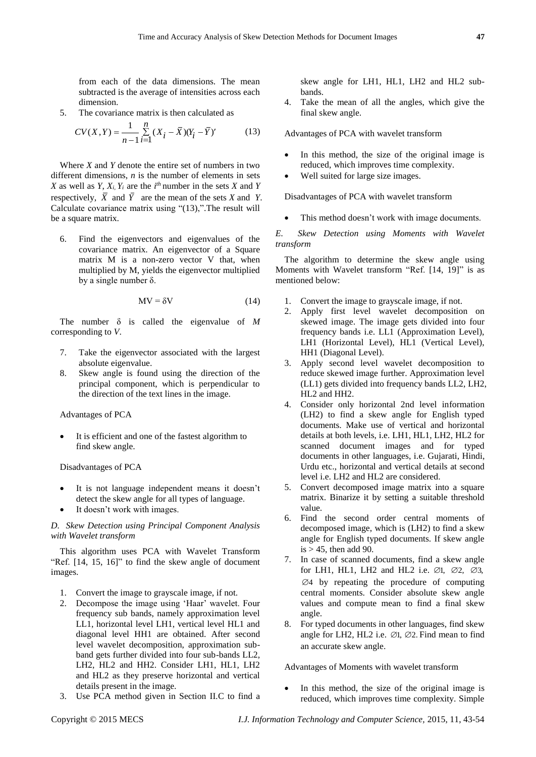from each of the data dimensions. The mean subtracted is the average of intensities across each dimension.

5. The covariance matrix is then calculated as

$$
CV(X,Y) = \frac{1}{n-1} \sum_{i=1}^{n} (X_i - \bar{X})(Y_i - \bar{Y})'
$$
 (13)

Where *X* and *Y* denote the entire set of numbers in two different dimensions, *n* is the number of elements in sets *X* as well as *Y*,  $X_i$ ,  $Y_i$  are the *i*<sup>th</sup> number in the sets *X* and *Y* respectively, *X* and *Y* are the mean of the sets *X* and *Y*. Calculate covariance matrix using "(13),".The result will be a square matrix.

6. Find the eigenvectors and eigenvalues of the covariance matrix. An eigenvector of a [Square](http://en.wikipedia.org/wiki/Square_matrix)  [matrix](http://en.wikipedia.org/wiki/Square_matrix) M is a non-zero [vector](http://en.wikipedia.org/wiki/Vector_(mathematics)) V that, when [multiplied](http://en.wikipedia.org/wiki/Matrix_multiplication) by M, yields the eigenvector multiplied by a single number δ.

$$
MV = \delta V \tag{14}
$$

The number  $\delta$  is called the eigenvalue of  $M$ corresponding to *V*.

- 7. Take the eigenvector associated with the largest absolute eigenvalue.
- 8. Skew angle is found using the direction of the principal component, which is perpendicular to the direction of the text lines in the image.

Advantages of PCA

 It is efficient and one of the fastest algorithm to find skew angle.

Disadvantages of PCA

- It is not language independent means it doesn't detect the skew angle for all types of language.
- It doesn't work with images.

*D. Skew Detection using Principal Component Analysis with Wavelet transform*

This algorithm uses PCA with Wavelet Transform "Ref. [14, 15, 16]" to find the skew angle of document images.

- 1. Convert the image to grayscale image, if not.
- 2. Decompose the image using 'Haar' wavelet. Four frequency sub bands, namely approximation level LL1, horizontal level LH1, vertical level HL1 and diagonal level HH1 are obtained. After second level wavelet decomposition, approximation subband gets further divided into four sub-bands LL2, LH2, HL2 and HH2. Consider LH1, HL1, LH2 and HL2 as they preserve horizontal and vertical details present in the image.
- 3. Use PCA method given in Section II*.*C to find a

skew angle for LH1, HL1, LH2 and HL2 subbands.

4. Take the mean of all the angles, which give the final skew angle.

Advantages of PCA with wavelet transform

- In this method, the size of the original image is reduced, which improves time complexity.
- Well suited for large size images.

Disadvantages of PCA with wavelet transform

This method doesn't work with image documents.

*E. Skew Detection using Moments with Wavelet transform*

The algorithm to determine the skew angle using Moments with Wavelet transform "Ref. [14, 19]" is as mentioned below:

- 1. Convert the image to grayscale image, if not.
- 2. Apply first level wavelet decomposition on skewed image. The image gets divided into four frequency bands i.e. LL1 (Approximation Level), LH1 (Horizontal Level), HL1 (Vertical Level), HH1 (Diagonal Level).
- 3. Apply second level wavelet decomposition to reduce skewed image further. Approximation level (LL1) gets divided into frequency bands LL2, LH2, HL2 and HH2.
- 4. Consider only horizontal 2nd level information (LH2) to find a skew angle for English typed documents. Make use of vertical and horizontal details at both levels, i.e. LH1, HL1, LH2, HL2 for scanned document images and for typed documents in other languages, i.e. Gujarati, Hindi, Urdu etc., horizontal and vertical details at second level i.e. LH2 and HL2 are considered.
- 5. Convert decomposed image matrix into a square matrix. Binarize it by setting a suitable threshold value.
- 6. Find the second order central moments of decomposed image, which is (LH2) to find a skew angle for English typed documents. If skew angle is  $> 45$ , then add 90.
- 7. In case of scanned documents, find a skew angle for LH1, HL1, LH2 and HL2 i.e.  $\emptyset$ 1,  $\emptyset$ 2,  $\emptyset$ 3, 4 by repeating the procedure of computing central moments. Consider absolute skew angle values and compute mean to find a final skew angle.
- 8. For typed documents in other languages, find skew angle for LH2, HL2 i.e.  $\varnothing$ 1,  $\varnothing$ 2. Find mean to find an accurate skew angle.

Advantages of Moments with wavelet transform

 In this method, the size of the original image is reduced, which improves time complexity. Simple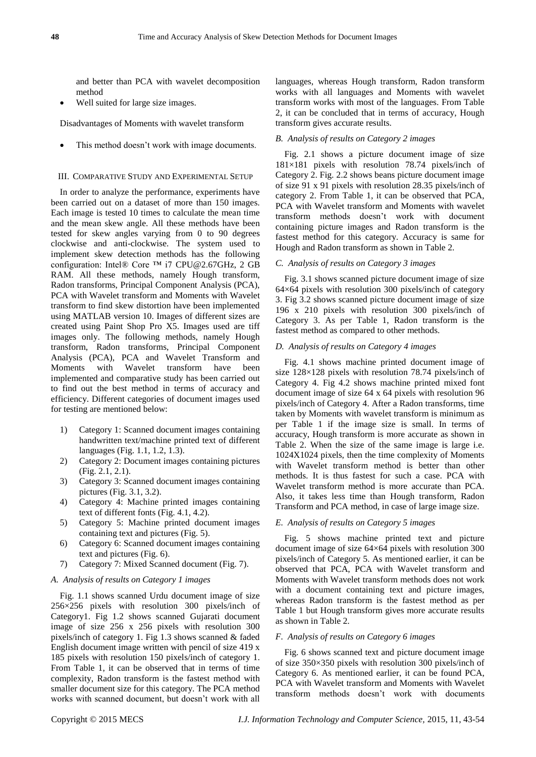and better than PCA with wavelet decomposition method

Well suited for large size images.

Disadvantages of Moments with wavelet transform

This method doesn't work with image documents.

## III. COMPARATIVE STUDY AND EXPERIMENTAL SETUP

In order to analyze the performance, experiments have been carried out on a dataset of more than 150 images. Each image is tested 10 times to calculate the mean time and the mean skew angle. All these methods have been tested for skew angles varying from 0 to 90 degrees clockwise and anti-clockwise. The system used to implement skew detection methods has the following configuration: Intel® Core ™ i7 [CPU@2.67G](mailto:CPU@2.67)Hz, 2 GB RAM. All these methods, namely Hough transform, Radon transforms, Principal Component Analysis (PCA), PCA with Wavelet transform and Moments with Wavelet transform to find skew distortion have been implemented using MATLAB version 10. Images of different sizes are created using Paint Shop Pro X5. Images used are tiff images only. The following methods, namely Hough transform, Radon transforms, Principal Component Analysis (PCA), PCA and Wavelet Transform and Moments with Wavelet transform have been implemented and comparative study has been carried out to find out the best method in terms of accuracy and efficiency. Different categories of document images used for testing are mentioned below:

- 1) Category 1: Scanned document images containing handwritten text/machine printed text of different languages (Fig. 1.1, 1.2, 1.3).
- 2) Category 2: Document images containing pictures (Fig. 2.1, 2.1).
- 3) Category 3: Scanned document images containing pictures (Fig. 3.1, 3.2).
- 4) Category 4: Machine printed images containing text of different fonts (Fig. 4.1, 4.2).
- 5) Category 5: Machine printed document images containing text and pictures (Fig. 5).
- 6) Category 6: Scanned document images containing text and pictures (Fig. 6).
- 7) Category 7: Mixed Scanned document (Fig. 7).

# *A. Analysis of results on Category 1 images*

Fig. 1.1 shows scanned Urdu document image of size 256×256 pixels with resolution 300 pixels/inch of Category1. Fig 1.2 shows scanned Gujarati document image of size 256 x 256 pixels with resolution 300 pixels/inch of category 1. Fig 1.3 shows scanned & faded English document image written with pencil of size 419 x 185 pixels with resolution 150 pixels/inch of category 1. From Table 1, it can be observed that in terms of time complexity, Radon transform is the fastest method with smaller document size for this category. The PCA method works with scanned document, but doesn't work with all

languages, whereas Hough transform, Radon transform works with all languages and Moments with wavelet transform works with most of the languages. From Table 2, it can be concluded that in terms of accuracy, Hough transform gives accurate results.

# *B. Analysis of results on Category 2 images*

Fig. 2.1 shows a picture document image of size 181×181 pixels with resolution 78.74 pixels/inch of Category 2. Fig. 2.2 shows beans picture document image of size 91 x 91 pixels with resolution 28.35 pixels/inch of category 2. From Table 1, it can be observed that PCA, PCA with Wavelet transform and Moments with wavelet transform methods doesn't work with document containing picture images and Radon transform is the fastest method for this category. Accuracy is same for Hough and Radon transform as shown in Table 2.

# *C. Analysis of results on Category 3 images*

Fig. 3.1 shows scanned picture document image of size 64×64 pixels with resolution 300 pixels/inch of category 3. Fig 3.2 shows scanned picture document image of size 196 x 210 pixels with resolution 300 pixels/inch of Category 3. As per Table 1, Radon transform is the fastest method as compared to other methods.

#### *D. Analysis of results on Category 4 images*

Fig. 4.1 shows machine printed document image of size  $128\times128$  pixels with resolution 78.74 pixels/inch of Category 4. Fig 4.2 shows machine printed mixed font document image of size 64 x 64 pixels with resolution 96 pixels/inch of Category 4. After a Radon transforms, time taken by Moments with wavelet transform is minimum as per Table 1 if the image size is small. In terms of accuracy, Hough transform is more accurate as shown in Table 2. When the size of the same image is large i.e. 1024X1024 pixels, then the time complexity of Moments with Wavelet transform method is better than other methods. It is thus fastest for such a case. PCA with Wavelet transform method is more accurate than PCA. Also, it takes less time than Hough transform, Radon Transform and PCA method, in case of large image size.

## *E. Analysis of results on Category 5 images*

Fig. 5 shows machine printed text and picture document image of size 64×64 pixels with resolution 300 pixels/inch of Category 5. As mentioned earlier, it can be observed that PCA, PCA with Wavelet transform and Moments with Wavelet transform methods does not work with a document containing text and picture images, whereas Radon transform is the fastest method as per Table 1 but Hough transform gives more accurate results as shown in Table 2.

## *F. Analysis of results on Category 6 images*

Fig. 6 shows scanned text and picture document image of size 350×350 pixels with resolution 300 pixels/inch of Category 6. As mentioned earlier, it can be found PCA, PCA with Wavelet transform and Moments with Wavelet transform methods doesn't work with documents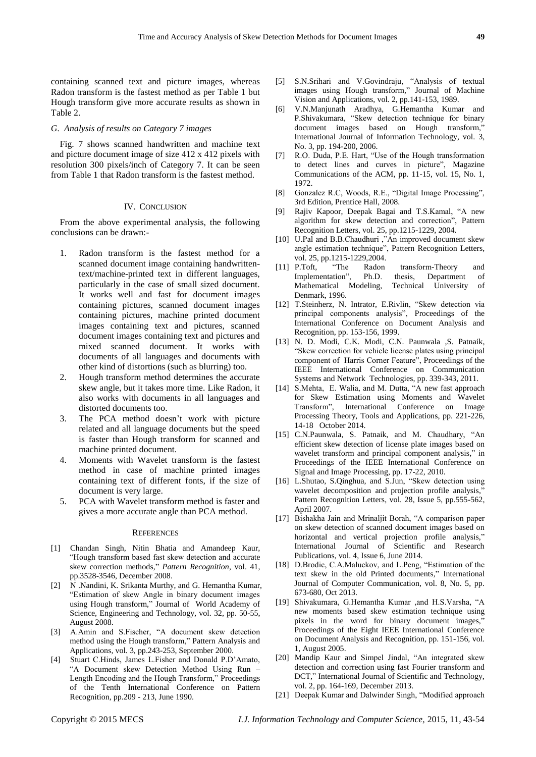containing scanned text and picture images, whereas Radon transform is the fastest method as per Table 1 but Hough transform give more accurate results as shown in Table 2.

# *G. Analysis of results on Category 7 images*

Fig. 7 shows scanned handwritten and machine text and picture document image of size 412 x 412 pixels with resolution 300 pixels/inch of Category 7. It can be seen from Table 1 that Radon transform is the fastest method.

#### IV. CONCLUSION

From the above experimental analysis, the following conclusions can be drawn:-

- 1. Radon transform is the fastest method for a scanned document image containing handwrittentext/machine-printed text in different languages, particularly in the case of small sized document. It works well and fast for document images containing pictures, scanned document images containing pictures, machine printed document images containing text and pictures, scanned document images containing text and pictures and mixed scanned document. It works with documents of all languages and documents with other kind of distortions (such as blurring) too.
- 2. Hough transform method determines the accurate skew angle, but it takes more time. Like Radon, it also works with documents in all languages and distorted documents too.
- 3. The PCA method doesn't work with picture related and all language documents but the speed is faster than Hough transform for scanned and machine printed document.
- 4. Moments with Wavelet transform is the fastest method in case of machine printed images containing text of different fonts, if the size of document is very large.
- 5. PCA with Wavelet transform method is faster and gives a more accurate angle than PCA method.

#### **REFERENCES**

- [1] Chandan Singh, Nitin Bhatia and Amandeep Kaur, "Hough transform based fast skew detection and accurate skew correction methods," *Pattern Recognition*, vol. 41, pp.3528-3546, December 2008.
- [2] N .Nandini, K. Srikanta Murthy, and G. Hemantha Kumar, "Estimation of skew Angle in binary document images using Hough transform," Journal of World Academy of Science, Engineering and Technology, vol. 32, pp. 50-55, August 2008.
- [3] A.Amin and S.Fischer, "A document skew detection method using the Hough transform," Pattern Analysis and Applications, [vol. 3, pp.243-253, September 2000.](http://www.springerlink.com/content/80p23pybeewh/?p=42ca5eb1f9a242f99a77d253482b1753&pi=0)
- [4] Stuart C.Hinds, James L.Fisher and Donald P.D'Amato, "A Document skew Detection Method Using Run – Length Encoding and the Hough Transform," Proceedings of the Tenth International Conference on Pattern Recognition, pp.209 - 213, June 1990.
- [5] S.N.Srihari and V.Govindraju, "Analysis of textual images using Hough transform," Journal of Machine Vision and Applications, vol. 2, pp.141-153, 1989.
- [6] V.N.Manjunath Aradhya, G.Hemantha Kumar and P.Shivakumara, "Skew detection technique for binary document images based on Hough transform," International Journal of Information Technology, vol. 3, No. 3, pp. 194-200, 2006.
- [7] R.O. Duda, P.E. Hart, "Use of the Hough transformation to detect lines and curves in picture", Magazine Communications of the ACM, pp. 11-15, vol. 15, No. 1, 1972.
- [8] Gonzalez R.C, Woods, R.E., "Digital Image Processing", 3rd Edition, Prentice Hall, 2008.
- [9] Rajiv Kapoor, Deepak Bagai and T.S.Kamal, "A new algorithm for skew detection and correction", Pattern Recognition Letters, vol. 25, pp.1215-1229, 2004.
- [10] U.Pal and B.B.Chaudhuri ,"An improved document skew angle estimation technique", Pattern Recognition Letters, vol. 25, pp.1215-1229,2004.
- [11] P.Toft, "The Radon transform-Theory and Implementation", Ph.D. thesis, Department of Mathematical Modeling, Technical University of Denmark, 1996.
- [12] T.Steinherz, N. Intrator, E.Rivlin, "Skew detection via principal components analysis", Proceedings of the International Conference on Document Analysis and Recognition, pp. 153-156, 1999.
- [13] N. D. Modi, C.K. Modi, C.N. Paunwala ,S. Patnaik, "Skew correction for vehicle license plates using principal component of Harris Corner Feature", Proceedings of the IEEE International Conference on Communication Systems and Network Technologies, pp. 339-343, 2011.
- [14] S.Mehta, E. Walia, and M. Dutta, "A new fast approach for Skew Estimation using Moments and Wavelet Transform", International Conference on Image Processing Theory, Tools and Applications, pp. 221-226, 14-18 October 2014.
- [15] C.N.Paunwala, S. Patnaik, and M. Chaudhary, "An efficient skew detection of license plate images based on wavelet transform and principal component analysis," in Proceedings of the IEEE International Conference on Signal and Image Processing, pp. 17-22, 2010.
- [16] L.Shutao, S.Qinghua, and S.Jun, "Skew detection using wavelet decomposition and projection profile analysis, Pattern Recognition Letters, vol. 28, Issue 5, pp.555-562, April 2007.
- [17] Bishakha Jain and Mrinaljit Borah, "A comparison paper on skew detection of scanned document images based on horizontal and vertical projection profile analysis," International Journal of Scientific and Research Publications, vol. 4, Issue 6, June 2014.
- [18] D.Brodic, C.A.Maluckov, and L.Peng, "Estimation of the text skew in the old Printed documents," International Journal of Computer Communication, vol. 8, No. 5, pp. 673-680, Oct 2013.
- [19] Shivakumara, G.Hemantha Kumar ,and H.S.Varsha, "A new moments based skew estimation technique using pixels in the word for binary document images," Proceedings of the Eight IEEE International Conference on Document Analysis and Recognition, pp. 151-156, vol. 1, August 2005.
- [20] Mandip Kaur and Simpel Jindal, "An integrated skew detection and correction using fast Fourier transform and DCT," International Journal of Scientific and Technology, vol. 2, pp. 164-169, December 2013.
- [21] Deepak Kumar and Dalwinder Singh, "Modified approach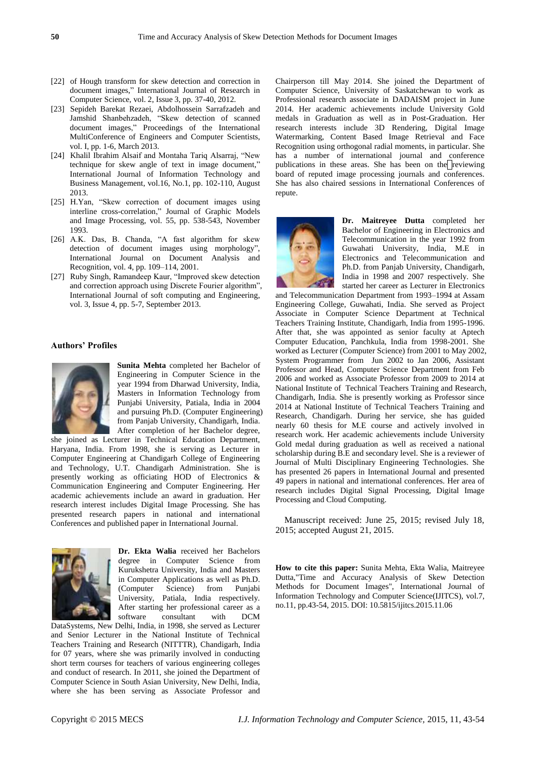- [22] of Hough transform for skew detection and correction in document images," International Journal of Research in Computer Science, vol. 2, Issue 3, pp. 37-40, 2012.
- [23] Sepideh Barekat Rezaei, Abdolhossein Sarrafzadeh and Jamshid Shanbehzadeh, "Skew detection of scanned document images," Proceedings of the International MultiConference of Engineers and Computer Scientists, vol. I, pp. 1-6, March 2013.
- [24] Khalil Ibrahim Alsaif and Montaha Tariq Alsarraj, "New technique for skew angle of text in image document," International Journal of Information Technology and Business Management, vol.16, No.1, pp. 102-110, August 2013.
- [25] H.Yan, "Skew correction of document images using interline cross-correlation," Journal of Graphic Models and Image Processing, vol. 55, pp. 538-543, November 1993.
- [26] A.K. Das, B. Chanda, "A fast algorithm for skew detection of document images using morphology", International Journal on Document Analysis and Recognition, vol. 4, pp. 109–114, 2001.
- [27] Ruby Singh, Ramandeep Kaur, "Improved skew detection and correction approach using Discrete Fourier algorithm", International Journal of soft computing and Engineering, vol. 3, Issue 4, pp. 5-7, September 2013.

# **Authors' Profiles**



**Sunita Mehta** completed her Bachelor of Engineering in Computer Science in the year 1994 from Dharwad University, India, Masters in Information Technology from Punjabi University, Patiala, India in 2004 and pursuing Ph.D. (Computer Engineering) from Panjab University, Chandigarh, India. After completion of her Bachelor degree,

she joined as Lecturer in Technical Education Department, Haryana, India. From 1998, she is serving as Lecturer in Computer Engineering at Chandigarh College of Engineering and Technology, U.T. Chandigarh Administration. She is presently working as officiating HOD of Electronics & Communication Engineering and Computer Engineering. Her academic achievements include an award in graduation. Her research interest includes Digital Image Processing. She has presented research papers in national and international Conferences and published paper in International Journal.



**Dr. Ekta Walia** received her Bachelors degree in Computer Science from Kurukshetra University, India and Masters in Computer Applications as well as Ph.D. (Computer Science) from Punjabi University, Patiala, India respectively. After starting her professional career as a software consultant with DCM

DataSystems, New Delhi, India, in 1998, she served as Lecturer and Senior Lecturer in the National Institute of Technical Teachers Training and Research (NITTTR), Chandigarh, India for 07 years, where she was primarily involved in conducting short term courses for teachers of various engineering colleges and conduct of research. In 2011, she joined the Department of Computer Science in South Asian University, New Delhi, India, where she has been serving as Associate Professor and

Chairperson till May 2014. She joined the Department of Computer Science, University of Saskatchewan to work as Professional research associate in DADAISM project in June 2014. Her academic achievements include University Gold medals in Graduation as well as in Post-Graduation. Her research interests include 3D Rendering, Digital Image Watermarking, Content Based Image Retrieval and Face Recognition using orthogonal radial moments, in particular. She has a number of international journal and conference publications in these areas. She has been on the reviewing board of reputed image processing journals and conferences. She has also chaired sessions in International Conferences of repute.



**Dr. Maitreyee Dutta** completed her Bachelor of Engineering in Electronics and Telecommunication in the year 1992 from Guwahati University, India, M.E in Electronics and Telecommunication and Ph.D. from Panjab University, Chandigarh, India in 1998 and 2007 respectively. She started her career as Lecturer in Electronics

and Telecommunication Department from 1993–1994 at Assam Engineering College, Guwahati, India. She served as Project Associate in Computer Science Department at Technical Teachers Training Institute, Chandigarh, India from 1995-1996. After that, she was appointed as senior faculty at Aptech Computer Education, Panchkula, India from 1998-2001. She worked as Lecturer (Computer Science) from 2001 to May 2002, System Programmer from Jun 2002 to Jan 2006, Assistant Professor and Head, Computer Science Department from Feb 2006 and worked as Associate Professor from 2009 to 2014 at National Institute of Technical Teachers Training and Research, Chandigarh, India. She is presently working as Professor since 2014 at National Institute of Technical Teachers Training and Research, Chandigarh. During her service, she has guided nearly 60 thesis for M.E course and actively involved in research work. Her academic achievements include University Gold medal during graduation as well as received a national scholarship during B.E and secondary level. She is a reviewer of Journal of Multi Disciplinary Engineering Technologies. She has presented 26 papers in International Journal and presented 49 papers in national and international conferences. Her area of research includes Digital Signal Processing, Digital Image Processing and Cloud Computing.

Manuscript received: June 25, 2015; revised July 18, 2015; accepted August 21, 2015.

**How to cite this paper:** Sunita Mehta, Ekta Walia, Maitreyee Dutta,"Time and Accuracy Analysis of Skew Detection Methods for Document Images", International Journal of Information Technology and Computer Science(IJITCS), vol.7, no.11, pp.43-54, 2015. DOI: 10.5815/ijitcs.2015.11.06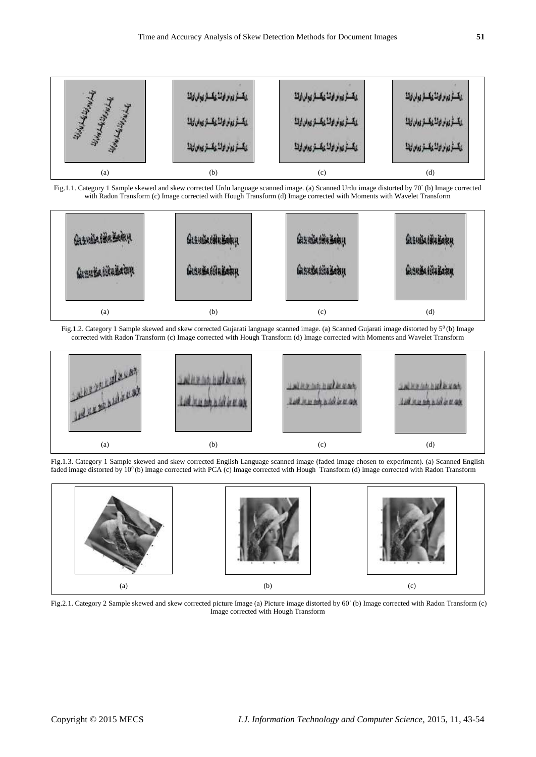





Fig.1.2. Category 1 Sample skewed and skew corrected Gujarati language scanned image. (a) Scanned Gujarati image distorted by 5<sup>0</sup> (b) Image corrected with Radon Transform (c) Image corrected with Hough Transform (d) Image corrected with Moments and Wavelet Transform



Fig.1.3. Category 1 Sample skewed and skew corrected English Language scanned image (faded image chosen to experiment). (a) Scanned English faded image distorted by 10<sup>0</sup>(b) Image corrected with PCA (c) Image corrected with Hough Transform (d) Image corrected with Radon Transform



Fig.2.1. Category 2 Sample skewed and skew corrected picture Image (a) Picture image distorted by 60◦ (b) Image corrected with Radon Transform (c) Image corrected with Hough Transform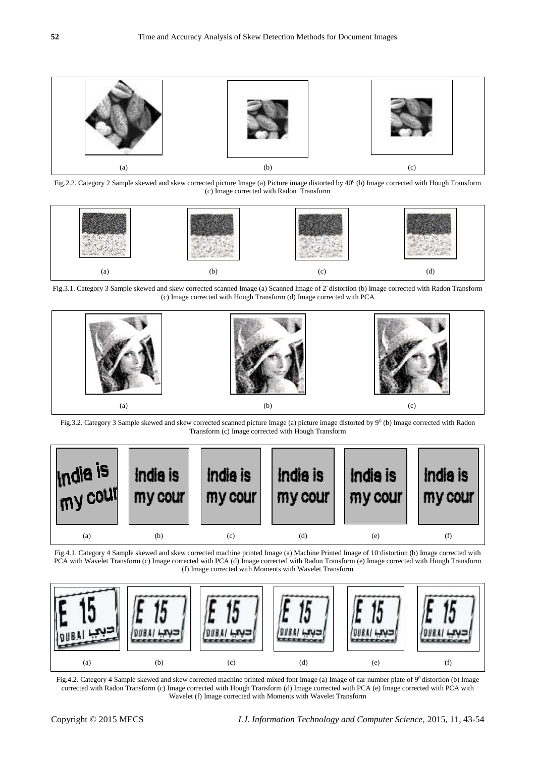

Fig.2.2. Category 2 Sample skewed and skew corrected picture Image (a) Picture image distorted by 40<sup>0</sup> (b) Image corrected with Hough Transform (c) Image corrected with Radon Transform



Fig.3.1. Category 3 Sample skewed and skew corrected scanned Image (a) Scanned Image of 2◦ distortion (b) Image corrected with Radon Transform (c) Image corrected with Hough Transform (d) Image corrected with PCA



Fig.3.2. Category 3 Sample skewed and skew corrected scanned picture Image (a) picture image distorted by  $9^0$  (b) Image corrected with Radon Transform (c) Image corrected with Hough Transform



Fig.4.1. Category 4 Sample skewed and skew corrected machine printed Image (a) Machine Printed Image of 10◦distortion (b) Image corrected with PCA with Wavelet Transform (c) Image corrected with PCA (d) Image corrected with Radon Transform (e) Image corrected with Hough Transform (f) Image corrected with Moments with Wavelet Transform



Fig.4.2. Category 4 Sample skewed and skew corrected machine printed mixed font Image (a) Image of car number plate of 9<sup>0</sup> distortion (b) Image corrected with Radon Transform (c) Image corrected with Hough Transform (d) Image corrected with PCA (e) Image corrected with PCA with Wavelet (f) Image corrected with Moments with Wavelet Transform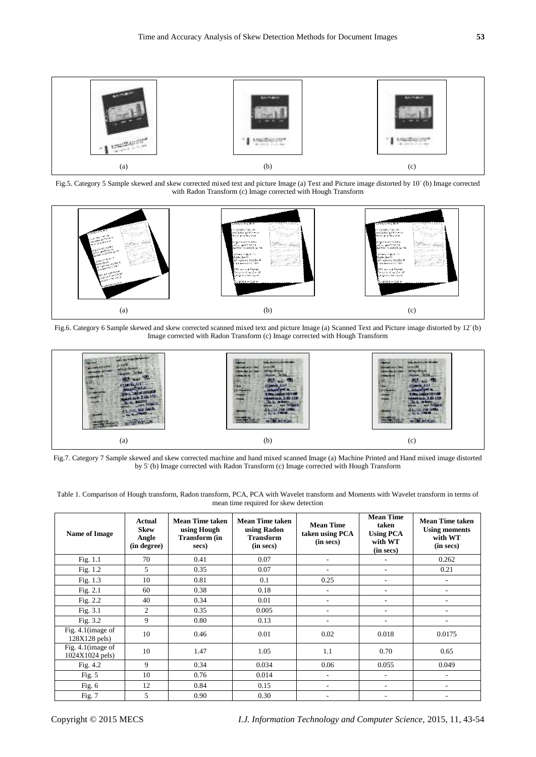

Fig.5. Category 5 Sample skewed and skew corrected mixed text and picture Image (a) Text and Picture image distorted by 10◦ (b) Image corrected with Radon Transform (c) Image corrected with Hough Transform



Fig.6. Category 6 Sample skewed and skew corrected scanned mixed text and picture Image (a) Scanned Text and Picture image distorted by 12° (b) Image corrected with Radon Transform (c) Image corrected with Hough Transform



Fig.7. Category 7 Sample skewed and skew corrected machine and hand mixed scanned Image (a) Machine Printed and Hand mixed image distorted by 5° (b) Image corrected with Radon Transform (c) Image corrected with Hough Transform

Table 1. Comparison of Hough transform, Radon transform, PCA, PCA with Wavelet transform and Moments with Wavelet transform in terms of mean time required for skew detection

| Name of Image                         | Actual<br><b>Skew</b><br>Angle<br>(in degree) | <b>Mean Time taken</b><br>using Hough<br><b>Transform (in</b><br>secs) | <b>Mean Time taken</b><br>using Radon<br><b>Transform</b><br>(in secs) | <b>Mean Time</b><br>taken using PCA<br>(in secs) | <b>Mean Time</b><br>taken<br><b>Using PCA</b><br>with WT<br>(in secs) | <b>Mean Time taken</b><br><b>Using moments</b><br>with WT<br>(in secs) |  |
|---------------------------------------|-----------------------------------------------|------------------------------------------------------------------------|------------------------------------------------------------------------|--------------------------------------------------|-----------------------------------------------------------------------|------------------------------------------------------------------------|--|
| Fig. $1.1$                            | 70                                            | 0.41                                                                   | 0.07                                                                   |                                                  | ٠                                                                     | 0.262                                                                  |  |
| Fig. $1.2$                            | 5                                             | 0.35                                                                   | 0.07                                                                   |                                                  | ٠                                                                     | 0.21                                                                   |  |
| Fig. $1.3$                            | 10                                            | 0.81                                                                   | 0.1                                                                    | 0.25                                             | ٠                                                                     |                                                                        |  |
| Fig. $2.1$                            | 60                                            | 0.38                                                                   | 0.18                                                                   |                                                  | ٠                                                                     |                                                                        |  |
| Fig. $2.2$                            | 40                                            | 0.34                                                                   | 0.01                                                                   |                                                  |                                                                       |                                                                        |  |
| Fig. $3.1$                            | $\overline{2}$                                | 0.35                                                                   | 0.005                                                                  |                                                  |                                                                       |                                                                        |  |
| Fig. 3.2                              | 9                                             | 0.80                                                                   | 0.13                                                                   |                                                  |                                                                       |                                                                        |  |
| Fig. 4.1 (image of<br>128X128 pels)   | 10                                            | 0.46                                                                   | 0.01                                                                   | 0.02                                             | 0.018                                                                 | 0.0175                                                                 |  |
| Fig. 4.1 (image of<br>1024X1024 pels) | 10                                            | 1.47                                                                   | 1.05                                                                   | 1.1                                              | 0.70                                                                  | 0.65                                                                   |  |
| Fig. $4.2$                            | 9                                             | 0.34                                                                   | 0.034                                                                  | 0.06                                             | 0.055                                                                 | 0.049                                                                  |  |
| Fig. $5$                              | 10                                            | 0.76                                                                   | 0.014                                                                  |                                                  |                                                                       |                                                                        |  |
| Fig. $6$                              | 12                                            | 0.84                                                                   | 0.15                                                                   |                                                  | ٠                                                                     |                                                                        |  |
| Fig. 7                                | 5                                             | 0.90                                                                   | 0.30                                                                   |                                                  |                                                                       |                                                                        |  |